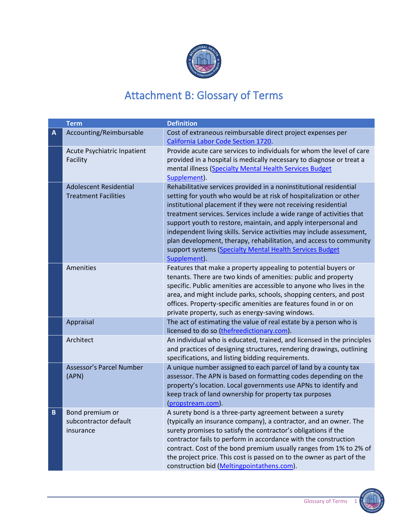

## Attachment B: Glossary of Terms

|   | <b>Term</b>                                                  | <b>Definition</b>                                                                                                                                                                                                                                                                                                                                                                                                                                                                                                                                                                |
|---|--------------------------------------------------------------|----------------------------------------------------------------------------------------------------------------------------------------------------------------------------------------------------------------------------------------------------------------------------------------------------------------------------------------------------------------------------------------------------------------------------------------------------------------------------------------------------------------------------------------------------------------------------------|
| A | Accounting/Reimbursable                                      | Cost of extraneous reimbursable direct project expenses per<br><b>California Labor Code Section 1720</b>                                                                                                                                                                                                                                                                                                                                                                                                                                                                         |
|   | Acute Psychiatric Inpatient<br>Facility                      | Provide acute care services to individuals for whom the level of care<br>provided in a hospital is medically necessary to diagnose or treat a<br>mental illness (Specialty Mental Health Services Budget<br>Supplement).                                                                                                                                                                                                                                                                                                                                                         |
|   | <b>Adolescent Residential</b><br><b>Treatment Facilities</b> | Rehabilitative services provided in a noninstitutional residential<br>setting for youth who would be at risk of hospitalization or other<br>institutional placement if they were not receiving residential<br>treatment services. Services include a wide range of activities that<br>support youth to restore, maintain, and apply interpersonal and<br>independent living skills. Service activities may include assessment,<br>plan development, therapy, rehabilitation, and access to community<br>support systems (Specialty Mental Health Services Budget<br>Supplement). |
|   | Amenities                                                    | Features that make a property appealing to potential buyers or<br>tenants. There are two kinds of amenities: public and property<br>specific. Public amenities are accessible to anyone who lives in the<br>area, and might include parks, schools, shopping centers, and post<br>offices. Property-specific amenities are features found in or on<br>private property, such as energy-saving windows.                                                                                                                                                                           |
|   | Appraisal                                                    | The act of estimating the value of real estate by a person who is<br>licensed to do so (thefreedictionary.com).                                                                                                                                                                                                                                                                                                                                                                                                                                                                  |
|   | Architect                                                    | An individual who is educated, trained, and licensed in the principles<br>and practices of designing structures, rendering drawings, outlining<br>specifications, and listing bidding requirements.                                                                                                                                                                                                                                                                                                                                                                              |
|   | Assessor's Parcel Number<br>(APN)                            | A unique number assigned to each parcel of land by a county tax<br>assessor. The APN is based on formatting codes depending on the<br>property's location. Local governments use APNs to identify and<br>keep track of land ownership for property tax purposes<br>(propstream.com).                                                                                                                                                                                                                                                                                             |
| B | Bond premium or<br>subcontractor default<br>insurance        | A surety bond is a three-party agreement between a surety<br>(typically an insurance company), a contractor, and an owner. The<br>surety promises to satisfy the contractor's obligations if the<br>contractor fails to perform in accordance with the construction<br>contract. Cost of the bond premium usually ranges from 1% to 2% of<br>the project price. This cost is passed on to the owner as part of the<br>construction bid (Meltingpointathens.com).                                                                                                                 |

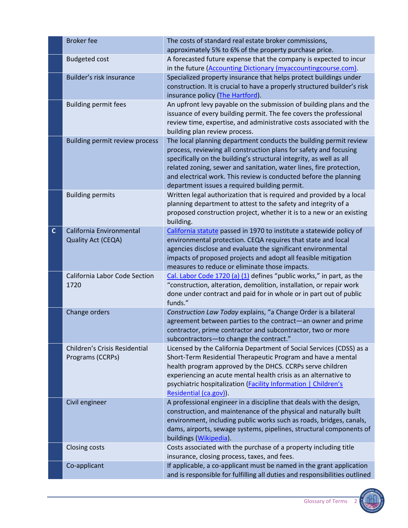|              | <b>Broker</b> fee              | The costs of standard real estate broker commissions,<br>approximately 5% to 6% of the property purchase price.                           |
|--------------|--------------------------------|-------------------------------------------------------------------------------------------------------------------------------------------|
|              |                                | A forecasted future expense that the company is expected to incur                                                                         |
|              | <b>Budgeted cost</b>           | in the future (Accounting Dictionary (myaccountingcourse.com).                                                                            |
|              | Builder's risk insurance       | Specialized property insurance that helps protect buildings under                                                                         |
|              |                                | construction. It is crucial to have a properly structured builder's risk<br>insurance policy (The Hartford).                              |
|              | <b>Building permit fees</b>    | An upfront levy payable on the submission of building plans and the                                                                       |
|              |                                | issuance of every building permit. The fee covers the professional                                                                        |
|              |                                | review time, expertise, and administrative costs associated with the                                                                      |
|              |                                | building plan review process.                                                                                                             |
|              | Building permit review process | The local planning department conducts the building permit review                                                                         |
|              |                                | process, reviewing all construction plans for safety and focusing                                                                         |
|              |                                | specifically on the building's structural integrity, as well as all                                                                       |
|              |                                | related zoning, sewer and sanitation, water lines, fire protection,                                                                       |
|              |                                | and electrical work. This review is conducted before the planning                                                                         |
|              |                                | department issues a required building permit.                                                                                             |
|              | <b>Building permits</b>        | Written legal authorization that is required and provided by a local                                                                      |
|              |                                | planning department to attest to the safety and integrity of a                                                                            |
|              |                                | proposed construction project, whether it is to a new or an existing                                                                      |
|              |                                | building.                                                                                                                                 |
| $\mathbf{C}$ | California Environmental       | California statute passed in 1970 to institute a statewide policy of                                                                      |
|              | Quality Act (CEQA)             | environmental protection. CEQA requires that state and local                                                                              |
|              |                                | agencies disclose and evaluate the significant environmental                                                                              |
|              |                                | impacts of proposed projects and adopt all feasible mitigation                                                                            |
|              |                                | measures to reduce or eliminate those impacts.                                                                                            |
|              | California Labor Code Section  | Cal. Labor Code 1720 (a) (1) defines "public works," in part, as the                                                                      |
|              | 1720                           | "construction, alteration, demolition, installation, or repair work<br>done under contract and paid for in whole or in part out of public |
|              |                                | funds."                                                                                                                                   |
|              | Change orders                  | Construction Law Today explains, "a Change Order is a bilateral                                                                           |
|              |                                | agreement between parties to the contract-an owner and prime                                                                              |
|              |                                | contractor, prime contractor and subcontractor, two or more                                                                               |
|              |                                | subcontractors-to change the contract."                                                                                                   |
|              | Children's Crisis Residential  | Licensed by the California Department of Social Services (CDSS) as a                                                                      |
|              | Programs (CCRPs)               | Short-Term Residential Therapeutic Program and have a mental                                                                              |
|              |                                | health program approved by the DHCS. CCRPs serve children                                                                                 |
|              |                                | experiencing an acute mental health crisis as an alternative to                                                                           |
|              |                                | psychiatric hospitalization (Facility Information   Children's                                                                            |
|              |                                | Residential (ca.gov)).                                                                                                                    |
|              | Civil engineer                 | A professional engineer in a discipline that deals with the design,                                                                       |
|              |                                | construction, and maintenance of the physical and naturally built                                                                         |
|              |                                | environment, including public works such as roads, bridges, canals,                                                                       |
|              |                                | dams, airports, sewage systems, pipelines, structural components of                                                                       |
|              |                                | buildings (Wikipedia).<br>Costs associated with the purchase of a property including title                                                |
|              | Closing costs                  | insurance, closing process, taxes, and fees.                                                                                              |
|              | Co-applicant                   | If applicable, a co-applicant must be named in the grant application                                                                      |
|              |                                | and is responsible for fulfilling all duties and responsibilities outlined                                                                |
|              |                                |                                                                                                                                           |

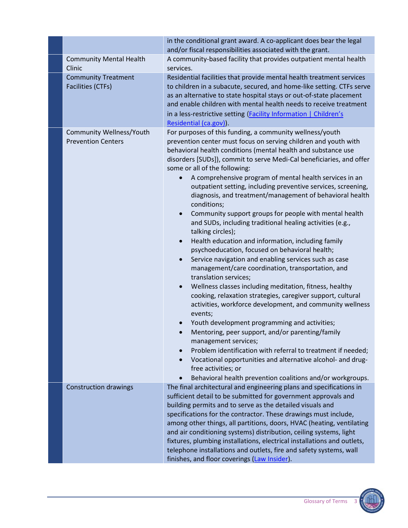|                                                              | in the conditional grant award. A co-applicant does bear the legal<br>and/or fiscal responsibilities associated with the grant.                                                                                                                                                                                                                                                                                                                                                                                                                                                                                                                                                                                                                                                                                                                                                                                                                                                                                                                                                                                                                                                                                                                                                                                                                                                                                                                                                                                                                       |
|--------------------------------------------------------------|-------------------------------------------------------------------------------------------------------------------------------------------------------------------------------------------------------------------------------------------------------------------------------------------------------------------------------------------------------------------------------------------------------------------------------------------------------------------------------------------------------------------------------------------------------------------------------------------------------------------------------------------------------------------------------------------------------------------------------------------------------------------------------------------------------------------------------------------------------------------------------------------------------------------------------------------------------------------------------------------------------------------------------------------------------------------------------------------------------------------------------------------------------------------------------------------------------------------------------------------------------------------------------------------------------------------------------------------------------------------------------------------------------------------------------------------------------------------------------------------------------------------------------------------------------|
| <b>Community Mental Health</b><br>Clinic                     | A community-based facility that provides outpatient mental health<br>services.                                                                                                                                                                                                                                                                                                                                                                                                                                                                                                                                                                                                                                                                                                                                                                                                                                                                                                                                                                                                                                                                                                                                                                                                                                                                                                                                                                                                                                                                        |
| <b>Community Treatment</b><br>Facilities (CTFs)              | Residential facilities that provide mental health treatment services<br>to children in a subacute, secured, and home-like setting. CTFs serve<br>as an alternative to state hospital stays or out-of-state placement<br>and enable children with mental health needs to receive treatment<br>in a less-restrictive setting (Facility Information   Children's<br>Residential (ca.gov)).                                                                                                                                                                                                                                                                                                                                                                                                                                                                                                                                                                                                                                                                                                                                                                                                                                                                                                                                                                                                                                                                                                                                                               |
| <b>Community Wellness/Youth</b><br><b>Prevention Centers</b> | For purposes of this funding, a community wellness/youth<br>prevention center must focus on serving children and youth with<br>behavioral health conditions (mental health and substance use<br>disorders [SUDs]), commit to serve Medi-Cal beneficiaries, and offer<br>some or all of the following:<br>A comprehensive program of mental health services in an<br>$\bullet$<br>outpatient setting, including preventive services, screening,<br>diagnosis, and treatment/management of behavioral health<br>conditions;<br>Community support groups for people with mental health<br>$\bullet$<br>and SUDs, including traditional healing activities (e.g.,<br>talking circles);<br>Health education and information, including family<br>$\bullet$<br>psychoeducation, focused on behavioral health;<br>Service navigation and enabling services such as case<br>$\bullet$<br>management/care coordination, transportation, and<br>translation services;<br>Wellness classes including meditation, fitness, healthy<br>$\bullet$<br>cooking, relaxation strategies, caregiver support, cultural<br>activities, workforce development, and community wellness<br>events;<br>Youth development programming and activities;<br>Mentoring, peer support, and/or parenting/family<br>management services;<br>Problem identification with referral to treatment if needed;<br>$\bullet$<br>Vocational opportunities and alternative alcohol- and drug-<br>$\bullet$<br>free activities; or<br>Behavioral health prevention coalitions and/or workgroups. |
| <b>Construction drawings</b>                                 | The final architectural and engineering plans and specifications in<br>sufficient detail to be submitted for government approvals and<br>building permits and to serve as the detailed visuals and<br>specifications for the contractor. These drawings must include,<br>among other things, all partitions, doors, HVAC (heating, ventilating<br>and air conditioning systems) distribution, ceiling systems, light<br>fixtures, plumbing installations, electrical installations and outlets,<br>telephone installations and outlets, fire and safety systems, wall<br>finishes, and floor coverings (Law Insider).                                                                                                                                                                                                                                                                                                                                                                                                                                                                                                                                                                                                                                                                                                                                                                                                                                                                                                                                 |

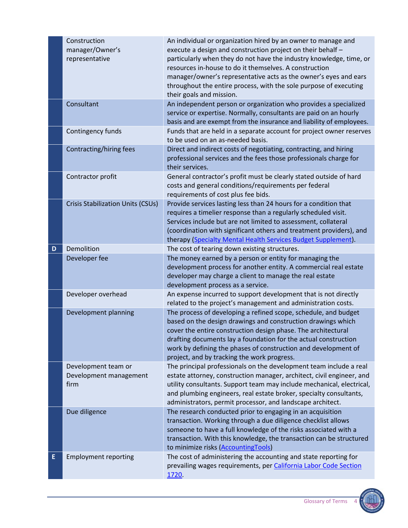|   | Construction<br>manager/Owner's<br>representative     | An individual or organization hired by an owner to manage and<br>execute a design and construction project on their behalf -<br>particularly when they do not have the industry knowledge, time, or<br>resources in-house to do it themselves. A construction<br>manager/owner's representative acts as the owner's eyes and ears<br>throughout the entire process, with the sole purpose of executing<br>their goals and mission. |
|---|-------------------------------------------------------|------------------------------------------------------------------------------------------------------------------------------------------------------------------------------------------------------------------------------------------------------------------------------------------------------------------------------------------------------------------------------------------------------------------------------------|
|   | Consultant                                            | An independent person or organization who provides a specialized<br>service or expertise. Normally, consultants are paid on an hourly<br>basis and are exempt from the insurance and liability of employees.                                                                                                                                                                                                                       |
|   | Contingency funds                                     | Funds that are held in a separate account for project owner reserves<br>to be used on an as-needed basis.                                                                                                                                                                                                                                                                                                                          |
|   | Contracting/hiring fees                               | Direct and indirect costs of negotiating, contracting, and hiring<br>professional services and the fees those professionals charge for<br>their services.                                                                                                                                                                                                                                                                          |
|   | Contractor profit                                     | General contractor's profit must be clearly stated outside of hard<br>costs and general conditions/requirements per federal<br>requirements of cost plus fee bids.                                                                                                                                                                                                                                                                 |
|   | Crisis Stabilization Units (CSUs)                     | Provide services lasting less than 24 hours for a condition that<br>requires a timelier response than a regularly scheduled visit.<br>Services include but are not limited to assessment, collateral<br>(coordination with significant others and treatment providers), and<br>therapy (Specialty Mental Health Services Budget Supplement).                                                                                       |
|   | Demolition                                            | The cost of tearing down existing structures.                                                                                                                                                                                                                                                                                                                                                                                      |
|   | Developer fee                                         | The money earned by a person or entity for managing the<br>development process for another entity. A commercial real estate<br>developer may charge a client to manage the real estate<br>development process as a service.                                                                                                                                                                                                        |
|   | Developer overhead                                    | An expense incurred to support development that is not directly<br>related to the project's management and administration costs.                                                                                                                                                                                                                                                                                                   |
|   | Development planning                                  | The process of developing a refined scope, schedule, and budget<br>based on the design drawings and construction drawings which<br>cover the entire construction design phase. The architectural<br>drafting documents lay a foundation for the actual construction<br>work by defining the phases of construction and development of<br>project, and by tracking the work progress.                                               |
|   | Development team or<br>Development management<br>firm | The principal professionals on the development team include a real<br>estate attorney, construction manager, architect, civil engineer, and<br>utility consultants. Support team may include mechanical, electrical,<br>and plumbing engineers, real estate broker, specialty consultants,<br>administrators, permit processor, and landscape architect.                                                                           |
|   | Due diligence                                         | The research conducted prior to engaging in an acquisition<br>transaction. Working through a due diligence checklist allows<br>someone to have a full knowledge of the risks associated with a<br>transaction. With this knowledge, the transaction can be structured<br>to minimize risks (AccountingTools)                                                                                                                       |
| Ε | <b>Employment reporting</b>                           | The cost of administering the accounting and state reporting for<br>prevailing wages requirements, per California Labor Code Section<br>1720.                                                                                                                                                                                                                                                                                      |

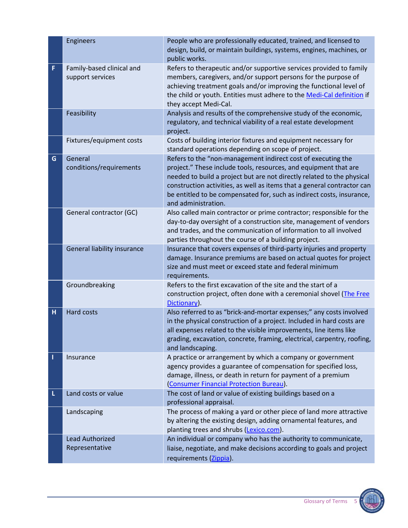|   | Engineers                                     | People who are professionally educated, trained, and licensed to<br>design, build, or maintain buildings, systems, engines, machines, or<br>public works.                                                                                                                                                                                                                             |
|---|-----------------------------------------------|---------------------------------------------------------------------------------------------------------------------------------------------------------------------------------------------------------------------------------------------------------------------------------------------------------------------------------------------------------------------------------------|
| F | Family-based clinical and<br>support services | Refers to therapeutic and/or supportive services provided to family<br>members, caregivers, and/or support persons for the purpose of<br>achieving treatment goals and/or improving the functional level of<br>the child or youth. Entities must adhere to the Medi-Cal definition if<br>they accept Medi-Cal.                                                                        |
|   | Feasibility                                   | Analysis and results of the comprehensive study of the economic,<br>regulatory, and technical viability of a real estate development<br>project.                                                                                                                                                                                                                                      |
|   | Fixtures/equipment costs                      | Costs of building interior fixtures and equipment necessary for<br>standard operations depending on scope of project.                                                                                                                                                                                                                                                                 |
| G | General<br>conditions/requirements            | Refers to the "non-management indirect cost of executing the<br>project." These include tools, resources, and equipment that are<br>needed to build a project but are not directly related to the physical<br>construction activities, as well as items that a general contractor can<br>be entitled to be compensated for, such as indirect costs, insurance,<br>and administration. |
|   | General contractor (GC)                       | Also called main contractor or prime contractor; responsible for the<br>day-to-day oversight of a construction site, management of vendors<br>and trades, and the communication of information to all involved<br>parties throughout the course of a building project.                                                                                                                |
|   | General liability insurance                   | Insurance that covers expenses of third-party injuries and property<br>damage. Insurance premiums are based on actual quotes for project<br>size and must meet or exceed state and federal minimum<br>requirements.                                                                                                                                                                   |
|   | Groundbreaking                                | Refers to the first excavation of the site and the start of a<br>construction project, often done with a ceremonial shovel (The Free<br>Dictionary).                                                                                                                                                                                                                                  |
| H | <b>Hard costs</b>                             | Also referred to as "brick-and-mortar expenses;" any costs involved<br>in the physical construction of a project. Included in hard costs are<br>all expenses related to the visible improvements, line items like<br>grading, excavation, concrete, framing, electrical, carpentry, roofing,<br>and landscaping.                                                                      |
|   | Insurance                                     | A practice or arrangement by which a company or government<br>agency provides a guarantee of compensation for specified loss,<br>damage, illness, or death in return for payment of a premium<br>(Consumer Financial Protection Bureau).                                                                                                                                              |
| ι | Land costs or value                           | The cost of land or value of existing buildings based on a<br>professional appraisal.                                                                                                                                                                                                                                                                                                 |
|   | Landscaping                                   | The process of making a yard or other piece of land more attractive<br>by altering the existing design, adding ornamental features, and<br>planting trees and shrubs (Lexico.com).                                                                                                                                                                                                    |
|   | <b>Lead Authorized</b><br>Representative      | An individual or company who has the authority to communicate,<br>liaise, negotiate, and make decisions according to goals and project<br>requirements (Zippia).                                                                                                                                                                                                                      |

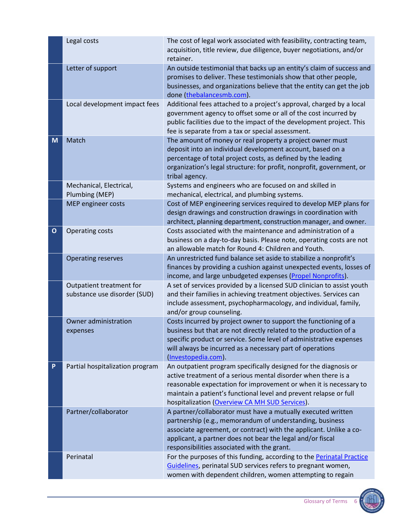|              | Legal costs                                              | The cost of legal work associated with feasibility, contracting team,<br>acquisition, title review, due diligence, buyer negotiations, and/or<br>retainer.                                                                                                                                                                    |
|--------------|----------------------------------------------------------|-------------------------------------------------------------------------------------------------------------------------------------------------------------------------------------------------------------------------------------------------------------------------------------------------------------------------------|
|              | Letter of support                                        | An outside testimonial that backs up an entity's claim of success and<br>promises to deliver. These testimonials show that other people,<br>businesses, and organizations believe that the entity can get the job<br>done (thebalancesmb.com).                                                                                |
|              | Local development impact fees                            | Additional fees attached to a project's approval, charged by a local<br>government agency to offset some or all of the cost incurred by<br>public facilities due to the impact of the development project. This<br>fee is separate from a tax or special assessment.                                                          |
| M            | Match                                                    | The amount of money or real property a project owner must<br>deposit into an individual development account, based on a<br>percentage of total project costs, as defined by the leading<br>organization's legal structure: for profit, nonprofit, government, or<br>tribal agency.                                            |
|              | Mechanical, Electrical,<br>Plumbing (MEP)                | Systems and engineers who are focused on and skilled in<br>mechanical, electrical, and plumbing systems.                                                                                                                                                                                                                      |
|              | MEP engineer costs                                       | Cost of MEP engineering services required to develop MEP plans for<br>design drawings and construction drawings in coordination with<br>architect, planning department, construction manager, and owner.                                                                                                                      |
| $\mathbf{o}$ | <b>Operating costs</b>                                   | Costs associated with the maintenance and administration of a<br>business on a day-to-day basis. Please note, operating costs are not<br>an allowable match for Round 4: Children and Youth.                                                                                                                                  |
|              | <b>Operating reserves</b>                                | An unrestricted fund balance set aside to stabilize a nonprofit's<br>finances by providing a cushion against unexpected events, losses of<br>income, and large unbudgeted expenses (Propel Nonprofits).                                                                                                                       |
|              | Outpatient treatment for<br>substance use disorder (SUD) | A set of services provided by a licensed SUD clinician to assist youth<br>and their families in achieving treatment objectives. Services can<br>include assessment, psychopharmacology, and individual, family,<br>and/or group counseling.                                                                                   |
|              | Owner administration<br>expenses                         | Costs incurred by project owner to support the functioning of a<br>business but that are not directly related to the production of a<br>specific product or service. Some level of administrative expenses<br>will always be incurred as a necessary part of operations<br>(Investopedia.com).                                |
| P            | Partial hospitalization program                          | An outpatient program specifically designed for the diagnosis or<br>active treatment of a serious mental disorder when there is a<br>reasonable expectation for improvement or when it is necessary to<br>maintain a patient's functional level and prevent relapse or full<br>hospitalization (Overview CA MH SUD Services). |
|              | Partner/collaborator                                     | A partner/collaborator must have a mutually executed written<br>partnership (e.g., memorandum of understanding, business<br>associate agreement, or contract) with the applicant. Unlike a co-<br>applicant, a partner does not bear the legal and/or fiscal<br>responsibilities associated with the grant.                   |
|              | Perinatal                                                | For the purposes of this funding, according to the Perinatal Practice<br>Guidelines, perinatal SUD services refers to pregnant women,<br>women with dependent children, women attempting to regain                                                                                                                            |

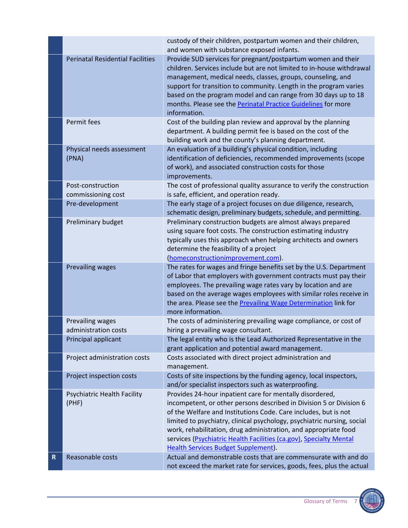|             |                                             | custody of their children, postpartum women and their children,<br>and women with substance exposed infants.                                                                                                                                                                                                                                                                                                                                                         |
|-------------|---------------------------------------------|----------------------------------------------------------------------------------------------------------------------------------------------------------------------------------------------------------------------------------------------------------------------------------------------------------------------------------------------------------------------------------------------------------------------------------------------------------------------|
|             | <b>Perinatal Residential Facilities</b>     | Provide SUD services for pregnant/postpartum women and their<br>children. Services include but are not limited to in-house withdrawal<br>management, medical needs, classes, groups, counseling, and<br>support for transition to community. Length in the program varies<br>based on the program model and can range from 30 days up to 18<br>months. Please see the Perinatal Practice Guidelines for more<br>information.                                         |
|             | Permit fees                                 | Cost of the building plan review and approval by the planning<br>department. A building permit fee is based on the cost of the<br>building work and the county's planning department.                                                                                                                                                                                                                                                                                |
|             | Physical needs assessment<br>(PNA)          | An evaluation of a building's physical condition, including<br>identification of deficiencies, recommended improvements (scope<br>of work), and associated construction costs for those<br>improvements.                                                                                                                                                                                                                                                             |
|             | Post-construction<br>commissioning cost     | The cost of professional quality assurance to verify the construction<br>is safe, efficient, and operation ready.                                                                                                                                                                                                                                                                                                                                                    |
|             | Pre-development                             | The early stage of a project focuses on due diligence, research,<br>schematic design, preliminary budgets, schedule, and permitting.                                                                                                                                                                                                                                                                                                                                 |
|             | Preliminary budget                          | Preliminary construction budgets are almost always prepared<br>using square foot costs. The construction estimating industry<br>typically uses this approach when helping architects and owners<br>determine the feasibility of a project<br>(homeconstructionimprovement.com).                                                                                                                                                                                      |
|             | <b>Prevailing wages</b>                     | The rates for wages and fringe benefits set by the U.S. Department<br>of Labor that employers with government contracts must pay their<br>employees. The prevailing wage rates vary by location and are<br>based on the average wages employees with similar roles receive in<br>the area. Please see the Prevailing Wage Determination link for<br>more information.                                                                                                |
|             | Prevailing wages<br>administration costs    | The costs of administering prevailing wage compliance, or cost of<br>hiring a prevailing wage consultant.                                                                                                                                                                                                                                                                                                                                                            |
|             | Principal applicant                         | The legal entity who is the Lead Authorized Representative in the<br>grant application and potential award management.                                                                                                                                                                                                                                                                                                                                               |
|             | Project administration costs                | Costs associated with direct project administration and<br>management.                                                                                                                                                                                                                                                                                                                                                                                               |
|             | Project inspection costs                    | Costs of site inspections by the funding agency, local inspectors,<br>and/or specialist inspectors such as waterproofing.                                                                                                                                                                                                                                                                                                                                            |
|             | <b>Psychiatric Health Facility</b><br>(PHF) | Provides 24-hour inpatient care for mentally disordered,<br>incompetent, or other persons described in Division 5 or Division 6<br>of the Welfare and Institutions Code. Care includes, but is not<br>limited to psychiatry, clinical psychology, psychiatric nursing, social<br>work, rehabilitation, drug administration, and appropriate food<br>services (Psychiatric Health Facilities (ca.gov), Specialty Mental<br><b>Health Services Budget Supplement).</b> |
| $\mathbf R$ | Reasonable costs                            | Actual and demonstrable costs that are commensurate with and do<br>not exceed the market rate for services, goods, fees, plus the actual                                                                                                                                                                                                                                                                                                                             |

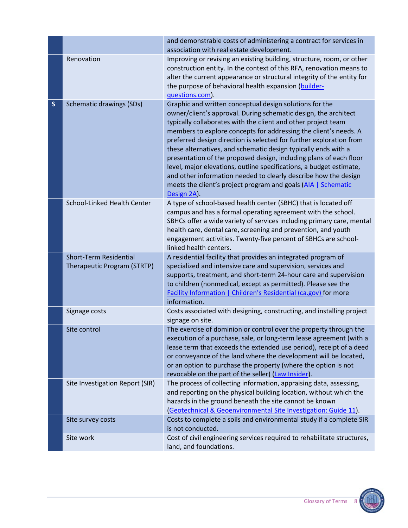|                                                              | and demonstrable costs of administering a contract for services in<br>association with real estate development.                                                                                                                                                                                                                                                                                                                                                                                                                                                                                                                                                                                          |
|--------------------------------------------------------------|----------------------------------------------------------------------------------------------------------------------------------------------------------------------------------------------------------------------------------------------------------------------------------------------------------------------------------------------------------------------------------------------------------------------------------------------------------------------------------------------------------------------------------------------------------------------------------------------------------------------------------------------------------------------------------------------------------|
| Renovation                                                   | Improving or revising an existing building, structure, room, or other<br>construction entity. In the context of this RFA, renovation means to<br>alter the current appearance or structural integrity of the entity for<br>the purpose of behavioral health expansion (builder-<br>questions.com).                                                                                                                                                                                                                                                                                                                                                                                                       |
| <b>Schematic drawings (SDs)</b>                              | Graphic and written conceptual design solutions for the<br>owner/client's approval. During schematic design, the architect<br>typically collaborates with the client and other project team<br>members to explore concepts for addressing the client's needs. A<br>preferred design direction is selected for further exploration from<br>these alternatives, and schematic design typically ends with a<br>presentation of the proposed design, including plans of each floor<br>level, major elevations, outline specifications, a budget estimate,<br>and other information needed to clearly describe how the design<br>meets the client's project program and goals (AIA   Schematic<br>Design 2A). |
| School-Linked Health Center                                  | A type of school-based health center (SBHC) that is located off<br>campus and has a formal operating agreement with the school.<br>SBHCs offer a wide variety of services including primary care, mental<br>health care, dental care, screening and prevention, and youth<br>engagement activities. Twenty-five percent of SBHCs are school-<br>linked health centers.                                                                                                                                                                                                                                                                                                                                   |
| <b>Short-Term Residential</b><br>Therapeutic Program (STRTP) | A residential facility that provides an integrated program of<br>specialized and intensive care and supervision, services and<br>supports, treatment, and short-term 24-hour care and supervision<br>to children (nonmedical, except as permitted). Please see the<br><b>Facility Information   Children's Residential (ca.gov) for more</b><br>information.                                                                                                                                                                                                                                                                                                                                             |
| Signage costs                                                | Costs associated with designing, constructing, and installing project<br>signage on site.                                                                                                                                                                                                                                                                                                                                                                                                                                                                                                                                                                                                                |
| Site control                                                 | The exercise of dominion or control over the property through the<br>execution of a purchase, sale, or long-term lease agreement (with a<br>lease term that exceeds the extended use period), receipt of a deed<br>or conveyance of the land where the development will be located,<br>or an option to purchase the property (where the option is not<br>revocable on the part of the seller) (Law Insider).                                                                                                                                                                                                                                                                                             |
| Site Investigation Report (SIR)                              | The process of collecting information, appraising data, assessing,<br>and reporting on the physical building location, without which the<br>hazards in the ground beneath the site cannot be known<br>(Geotechnical & Geoenvironmental Site Investigation: Guide 11).                                                                                                                                                                                                                                                                                                                                                                                                                                    |
| Site survey costs                                            | Costs to complete a soils and environmental study if a complete SIR<br>is not conducted.                                                                                                                                                                                                                                                                                                                                                                                                                                                                                                                                                                                                                 |
| Site work                                                    | Cost of civil engineering services required to rehabilitate structures,<br>land, and foundations.                                                                                                                                                                                                                                                                                                                                                                                                                                                                                                                                                                                                        |
|                                                              |                                                                                                                                                                                                                                                                                                                                                                                                                                                                                                                                                                                                                                                                                                          |